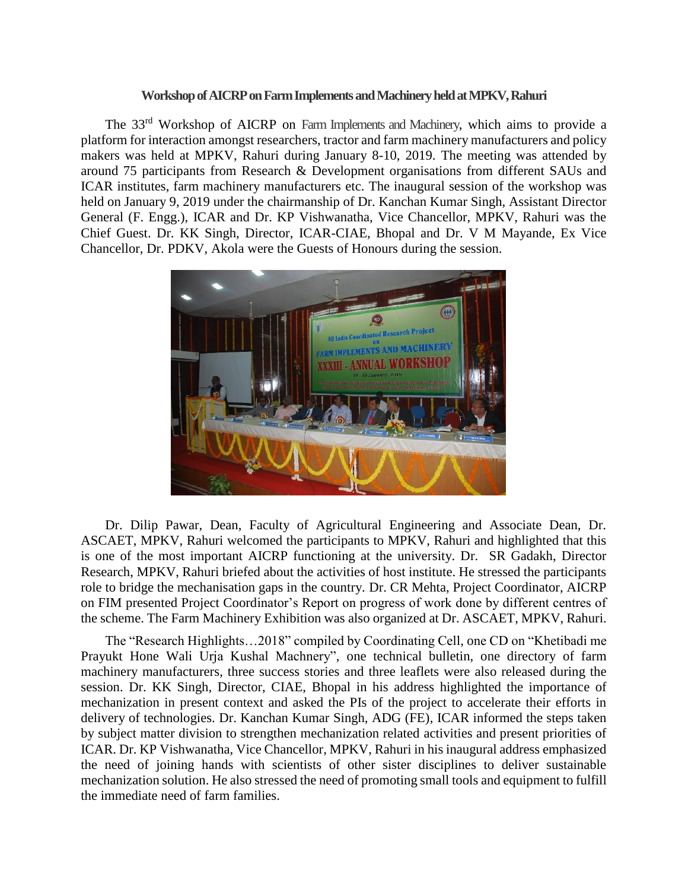## **Workshopof AICRP on Farm Implements and Machinery held at MPKV, Rahuri**

The 33<sup>rd</sup> Workshop of AICRP on Farm Implements and Machinery, which aims to provide a platform for interaction amongst researchers, tractor and farm machinery manufacturers and policy makers was held at MPKV, Rahuri during January 8-10, 2019. The meeting was attended by around 75 participants from Research & Development organisations from different SAUs and ICAR institutes, farm machinery manufacturers etc. The inaugural session of the workshop was held on January 9, 2019 under the chairmanship of Dr. Kanchan Kumar Singh, Assistant Director General (F. Engg.), ICAR and Dr. KP Vishwanatha, Vice Chancellor, MPKV, Rahuri was the Chief Guest. Dr. KK Singh, Director, ICAR-CIAE, Bhopal and Dr. V M Mayande, Ex Vice Chancellor, Dr. PDKV, Akola were the Guests of Honours during the session.



Dr. Dilip Pawar, Dean, Faculty of Agricultural Engineering and Associate Dean, Dr. ASCAET, MPKV, Rahuri welcomed the participants to MPKV, Rahuri and highlighted that this is one of the most important AICRP functioning at the university. Dr. SR Gadakh, Director Research, MPKV, Rahuri briefed about the activities of host institute. He stressed the participants role to bridge the mechanisation gaps in the country. Dr. CR Mehta, Project Coordinator, AICRP on FIM presented Project Coordinator's Report on progress of work done by different centres of the scheme. The Farm Machinery Exhibition was also organized at Dr. ASCAET, MPKV, Rahuri.

The "Research Highlights…2018" compiled by Coordinating Cell, one CD on "Khetibadi me Prayukt Hone Wali Urja Kushal Machnery", one technical bulletin, one directory of farm machinery manufacturers, three success stories and three leaflets were also released during the session. Dr. KK Singh, Director, CIAE, Bhopal in his address highlighted the importance of mechanization in present context and asked the PIs of the project to accelerate their efforts in delivery of technologies. Dr. Kanchan Kumar Singh, ADG (FE), ICAR informed the steps taken by subject matter division to strengthen mechanization related activities and present priorities of ICAR. Dr. KP Vishwanatha, Vice Chancellor, MPKV, Rahuri in his inaugural address emphasized the need of joining hands with scientists of other sister disciplines to deliver sustainable mechanization solution. He also stressed the need of promoting small tools and equipment to fulfill the immediate need of farm families.